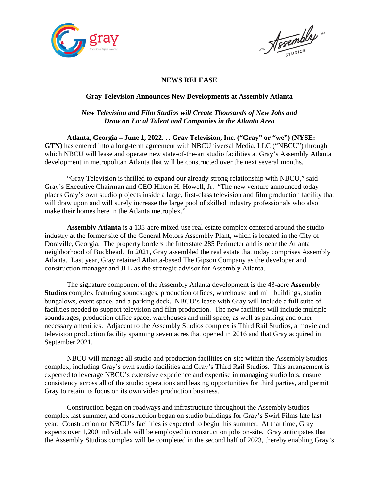

Negembly "

#### **NEWS RELEASE**

#### **Gray Television Announces New Developments at Assembly Atlanta**

## *New Television and Film Studios will Create Thousands of New Jobs and Draw on Local Talent and Companies in the Atlanta Area*

**Atlanta, Georgia – June 1, 2022. . . Gray Television, Inc. ("Gray" or "we") (NYSE: GTN)** has entered into a long-term agreement with NBCUniversal Media, LLC ("NBCU") through which NBCU will lease and operate new state-of-the-art studio facilities at Gray's Assembly Atlanta development in metropolitan Atlanta that will be constructed over the next several months.

"Gray Television is thrilled to expand our already strong relationship with NBCU," said Gray's Executive Chairman and CEO Hilton H. Howell, Jr. "The new venture announced today places Gray's own studio projects inside a large, first-class television and film production facility that will draw upon and will surely increase the large pool of skilled industry professionals who also make their homes here in the Atlanta metroplex."

**Assembly Atlanta** is a 135-acre mixed-use real estate complex centered around the studio industry at the former site of the General Motors Assembly Plant, which is located in the City of Doraville, Georgia. The property borders the Interstate 285 Perimeter and is near the Atlanta neighborhood of Buckhead. In 2021, Gray assembled the real estate that today comprises Assembly Atlanta. Last year, Gray retained Atlanta-based The Gipson Company as the developer and construction manager and JLL as the strategic advisor for Assembly Atlanta.

The signature component of the Assembly Atlanta development is the 43-acre **Assembly Studios** complex featuring soundstages, production offices, warehouse and mill buildings, studio bungalows, event space, and a parking deck. NBCU's lease with Gray will include a full suite of facilities needed to support television and film production. The new facilities will include multiple soundstages, production office space, warehouses and mill space, as well as parking and other necessary amenities. Adjacent to the Assembly Studios complex is Third Rail Studios, a movie and television production facility spanning seven acres that opened in 2016 and that Gray acquired in September 2021.

NBCU will manage all studio and production facilities on-site within the Assembly Studios complex, including Gray's own studio facilities and Gray's Third Rail Studios. This arrangement is expected to leverage NBCU's extensive experience and expertise in managing studio lots, ensure consistency across all of the studio operations and leasing opportunities for third parties, and permit Gray to retain its focus on its own video production business.

Construction began on roadways and infrastructure throughout the Assembly Studios complex last summer, and construction began on studio buildings for Gray's Swirl Films late last year. Construction on NBCU's facilities is expected to begin this summer. At that time, Gray expects over 1,200 individuals will be employed in construction jobs on-site. Gray anticipates that the Assembly Studios complex will be completed in the second half of 2023, thereby enabling Gray's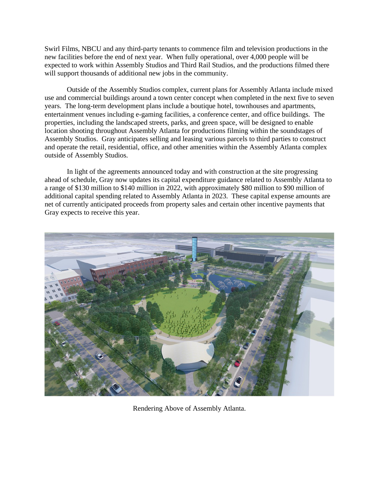Swirl Films, NBCU and any third-party tenants to commence film and television productions in the new facilities before the end of next year. When fully operational, over 4,000 people will be expected to work within Assembly Studios and Third Rail Studios, and the productions filmed there will support thousands of additional new jobs in the community.

Outside of the Assembly Studios complex, current plans for Assembly Atlanta include mixed use and commercial buildings around a town center concept when completed in the next five to seven years. The long-term development plans include a boutique hotel, townhouses and apartments, entertainment venues including e-gaming facilities, a conference center, and office buildings. The properties, including the landscaped streets, parks, and green space, will be designed to enable location shooting throughout Assembly Atlanta for productions filming within the soundstages of Assembly Studios. Gray anticipates selling and leasing various parcels to third parties to construct and operate the retail, residential, office, and other amenities within the Assembly Atlanta complex outside of Assembly Studios.

In light of the agreements announced today and with construction at the site progressing ahead of schedule, Gray now updates its capital expenditure guidance related to Assembly Atlanta to a range of \$130 million to \$140 million in 2022, with approximately \$80 million to \$90 million of additional capital spending related to Assembly Atlanta in 2023. These capital expense amounts are net of currently anticipated proceeds from property sales and certain other incentive payments that Gray expects to receive this year.



Rendering Above of Assembly Atlanta.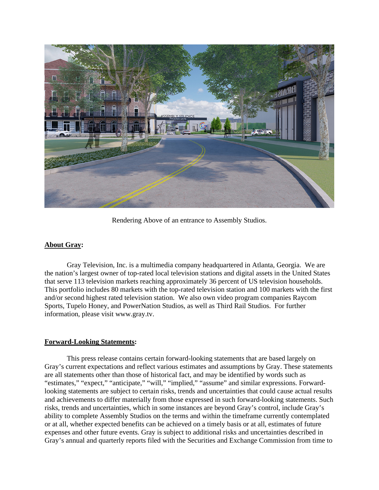

Rendering Above of an entrance to Assembly Studios.

### **About Gray:**

Gray Television, Inc. is a multimedia company headquartered in Atlanta, Georgia. We are the nation's largest owner of top-rated local television stations and digital assets in the United States that serve 113 television markets reaching approximately 36 percent of US television households. This portfolio includes 80 markets with the top-rated television station and 100 markets with the first and/or second highest rated television station. We also own video program companies Raycom Sports, Tupelo Honey, and PowerNation Studios, as well as Third Rail Studios. For further information, please visit [www.gray.tv.](http://www.gray.tv/)

### **Forward-Looking Statements:**

This press release contains certain forward-looking statements that are based largely on Gray's current expectations and reflect various estimates and assumptions by Gray. These statements are all statements other than those of historical fact, and may be identified by words such as "estimates," "expect," "anticipate," "will," "implied," "assume" and similar expressions. Forwardlooking statements are subject to certain risks, trends and uncertainties that could cause actual results and achievements to differ materially from those expressed in such forward-looking statements. Such risks, trends and uncertainties, which in some instances are beyond Gray's control, include Gray's ability to complete Assembly Studios on the terms and within the timeframe currently contemplated or at all, whether expected benefits can be achieved on a timely basis or at all, estimates of future expenses and other future events. Gray is subject to additional risks and uncertainties described in Gray's annual and quarterly reports filed with the Securities and Exchange Commission from time to